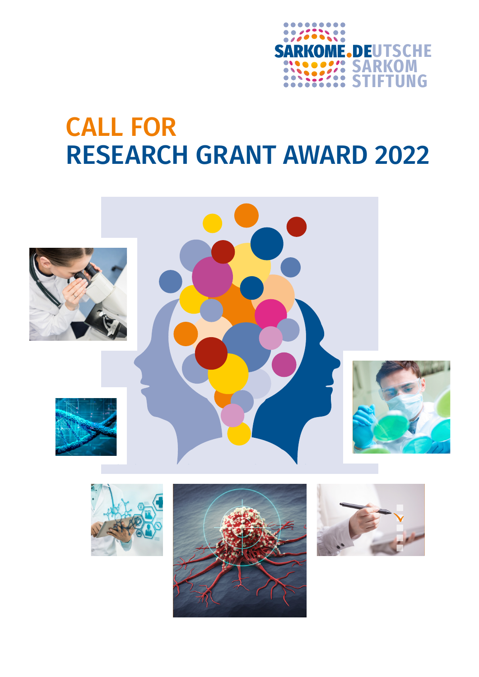

# CALL FOR RESEARCH GRANT AWARD 2022

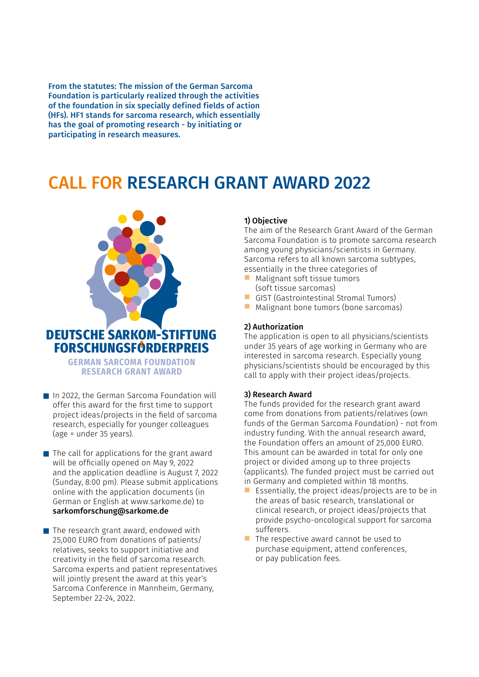From the statutes: The mission of the German Sarcoma Foundation is particularly realized through the activities of the foundation in six specially defined fields of action (HFs). HF1 stands for sarcoma research, which essentially has the goal of promoting research - by initiating or participating in research measures.

# CALL FOR RESEARCH GRANT AWARD 2022



- $\blacksquare$  In 2022, the German Sarcoma Foundation will offer this award for the first time to support project ideas/projects in the field of sarcoma research, especially for younger colleagues (age = under 35 years).
- $\blacksquare$  The call for applications for the grant award will be officially opened on May 9, 2022 and the application deadline is August 7, 2022 (Sunday, 8:00 pm). Please submit applications online with the application documents (in German or English at www.sarkome.de) to sarkomforschung@sarkome.de
- The research grant award, endowed with 25,000 EURO from donations of patients/ relatives, seeks to support initiative and creativity in the field of sarcoma research. Sarcoma experts and patient representatives will jointly present the award at this year's Sarcoma Conference in Mannheim, Germany, September 22-24, 2022.

# 1) Objective

The aim of the Research Grant Award of the German Sarcoma Foundation is to promote sarcoma research among young physicians/scientists in Germany. Sarcoma refers to all known sarcoma subtypes, essentially in the three categories of

- $\blacksquare$  Malignant soft tissue tumors (soft tissue sarcomas)
- **n** GIST (Gastrointestinal Stromal Tumors)
- $\blacksquare$  Malignant bone tumors (bone sarcomas)

#### 2) Authorization

The application is open to all physicians/scientists under 35 years of age working in Germany who are interested in sarcoma research. Especially young physicians/scientists should be encouraged by this call to apply with their project ideas/projects.

#### 3) Research Award

The funds provided for the research grant award come from donations from patients/relatives (own funds of the German Sarcoma Foundation) - not from industry funding. With the annual research award, the Foundation offers an amount of 25,000 EURO. This amount can be awarded in total for only one project or divided among up to three projects (applicants). The funded project must be carried out in Germany and completed within 18 months.

- Essentially, the project ideas/projects are to be in the areas of basic research, translational or clinical research, or project ideas/projects that provide psycho-oncological support for sarcoma sufferers.
- $\blacksquare$  The respective award cannot be used to purchase equipment, attend conferences, or pay publication fees.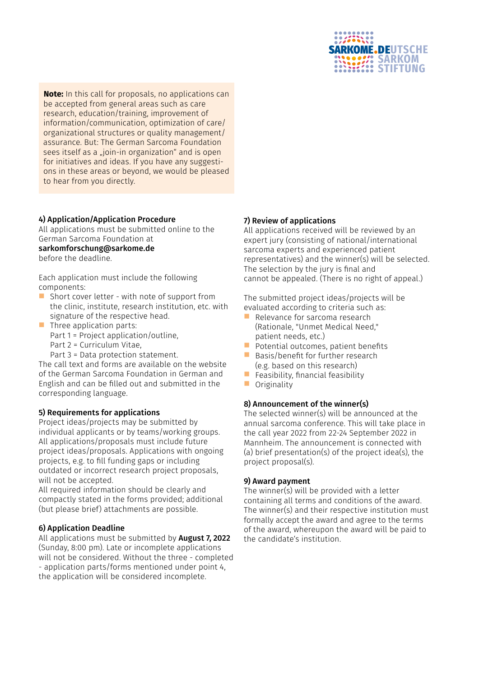

**Note:** In this call for proposals, no applications can be accepted from general areas such as care research, education/training, improvement of information/communication, optimization of care/ organizational structures or quality management/ assurance. But: The German Sarcoma Foundation sees itself as a "join-in organization" and is open for initiatives and ideas. If you have any suggestions in these areas or beyond, we would be pleased to hear from you directly.

# 4) Application/Application Procedure

All applications must be submitted online to the German Sarcoma Foundation at

sarkomforschung@sarkome.de

before the deadline.

Each application must include the following components:

- n Short cover letter - with note of support from the clinic, institute, research institution, etc. with signature of the respective head.
- n Three application parts: Part 1 = Project application/outline, Part 2 = Curriculum Vitae,

Part 3 = Data protection statement. The call text and forms are available on the website of the German Sarcoma Foundation in German and English and can be filled out and submitted in the corresponding language.

# 5) Requirements for applications

Project ideas/projects may be submitted by individual applicants or by teams/working groups. All applications/proposals must include future project ideas/proposals. Applications with ongoing projects, e.g. to fill funding gaps or including outdated or incorrect research project proposals, will not be accepted.

All required information should be clearly and compactly stated in the forms provided; additional (but please brief) attachments are possible.

# 6) Application Deadline

All applications must be submitted by **August 7, 2022** (Sunday, 8:00 pm). Late or incomplete applications will not be considered. Without the three - completed - application parts/forms mentioned under point 4, the application will be considered incomplete.

# 7) Review of applications

All applications received will be reviewed by an expert jury (consisting of national/international sarcoma experts and experienced patient representatives) and the winner(s) will be selected. The selection by the jury is final and cannot be appealed. (There is no right of appeal.)

The submitted project ideas/projects will be evaluated according to criteria such as:

- n Relevance for sarcoma research (Rationale, "Unmet Medical Need," patient needs, etc.)
- $\blacksquare$  Potential outcomes, patient benefits
- $\blacksquare$  Basis/benefit for further research (e.g. based on this research)
- $\blacksquare$  Feasibility, financial feasibility
- $\blacksquare$  Originality

# 8) Announcement of the winner(s)

The selected winner(s) will be announced at the annual sarcoma conference. This will take place in the call year 2022 from 22-24 September 2022 in Mannheim. The announcement is connected with (a) brief presentation(s) of the project idea(s), the project proposal(s).

#### 9) Award payment

The winner(s) will be provided with a letter containing all terms and conditions of the award. The winner(s) and their respective institution must formally accept the award and agree to the terms of the award, whereupon the award will be paid to the candidate's institution.